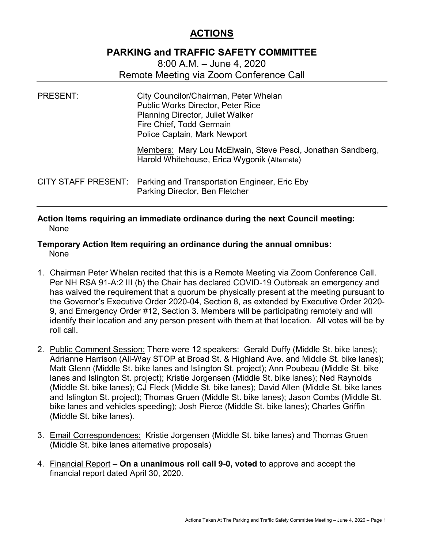## **ACTIONS**

## **PARKING and TRAFFIC SAFETY COMMITTEE**

8:00 A.M. – June 4, 2020 Remote Meeting via Zoom Conference Call

| <b>PRESENT:</b> | City Councilor/Chairman, Peter Whelan<br><b>Public Works Director, Peter Rice</b><br>Planning Director, Juliet Walker<br>Fire Chief, Todd Germain<br>Police Captain, Mark Newport |
|-----------------|-----------------------------------------------------------------------------------------------------------------------------------------------------------------------------------|
|                 | Members: Mary Lou McElwain, Steve Pesci, Jonathan Sandberg,<br>Harold Whitehouse, Erica Wygonik (Alternate)                                                                       |
|                 | CITY STAFF PRESENT: Parking and Transportation Engineer, Eric Eby<br>Parking Director, Ben Fletcher                                                                               |

**Action Items requiring an immediate ordinance during the next Council meeting:** None

## **Temporary Action Item requiring an ordinance during the annual omnibus:** None

- 1. Chairman Peter Whelan recited that this is a Remote Meeting via Zoom Conference Call. Per NH RSA 91-A:2 III (b) the Chair has declared COVID-19 Outbreak an emergency and has waived the requirement that a quorum be physically present at the meeting pursuant to the Governor's Executive Order 2020-04, Section 8, as extended by Executive Order 2020- 9, and Emergency Order #12, Section 3. Members will be participating remotely and will identify their location and any person present with them at that location. All votes will be by roll call.
- 2. Public Comment Session: There were 12 speakers: Gerald Duffy (Middle St. bike lanes); Adrianne Harrison (All-Way STOP at Broad St. & Highland Ave. and Middle St. bike lanes); Matt Glenn (Middle St. bike lanes and Islington St. project); Ann Poubeau (Middle St. bike lanes and Islington St. project); Kristie Jorgensen (Middle St. bike lanes); Ned Raynolds (Middle St. bike lanes); CJ Fleck (Middle St. bike lanes); David Allen (Middle St. bike lanes and Islington St. project); Thomas Gruen (Middle St. bike lanes); Jason Combs (Middle St. bike lanes and vehicles speeding); Josh Pierce (Middle St. bike lanes); Charles Griffin (Middle St. bike lanes).
- 3. Email Correspondences: Kristie Jorgensen (Middle St. bike lanes) and Thomas Gruen (Middle St. bike lanes alternative proposals)
- 4. Financial Report **On a unanimous roll call 9-0, voted** to approve and accept the financial report dated April 30, 2020.